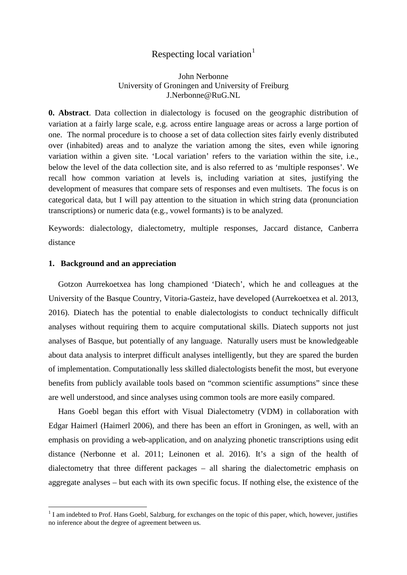# Respecting local variation<sup>[1](#page-0-0)</sup>

# John Nerbonne University of Groningen and University of Freiburg J.Nerbonne@RuG.NL

**0. Abstract**. Data collection in dialectology is focused on the geographic distribution of variation at a fairly large scale, e.g. across entire language areas or across a large portion of one. The normal procedure is to choose a set of data collection sites fairly evenly distributed over (inhabited) areas and to analyze the variation among the sites, even while ignoring variation within a given site. 'Local variation' refers to the variation within the site, i.e., below the level of the data collection site, and is also referred to as 'multiple responses'. We recall how common variation at levels is, including variation at sites, justifying the development of measures that compare sets of responses and even multisets. The focus is on categorical data, but I will pay attention to the situation in which string data (pronunciation transcriptions) or numeric data (e.g., vowel formants) is to be analyzed.

Keywords: dialectology, dialectometry, multiple responses, Jaccard distance, Canberra distance

## **1. Background and an appreciation**

<u>.</u>

Gotzon Aurrekoetxea has long championed 'Diatech', which he and colleagues at the University of the Basque Country, Vitoria-Gasteiz, have developed (Aurrekoetxea et al. 2013, 2016). Diatech has the potential to enable dialectologists to conduct technically difficult analyses without requiring them to acquire computational skills. Diatech supports not just analyses of Basque, but potentially of any language. Naturally users must be knowledgeable about data analysis to interpret difficult analyses intelligently, but they are spared the burden of implementation. Computationally less skilled dialectologists benefit the most, but everyone benefits from publicly available tools based on "common scientific assumptions" since these are well understood, and since analyses using common tools are more easily compared.

Hans Goebl began this effort with Visual Dialectometry (VDM) in collaboration with Edgar Haimerl (Haimerl 2006), and there has been an effort in Groningen, as well, with an emphasis on providing a web-application, and on analyzing phonetic transcriptions using edit distance (Nerbonne et al. 2011; Leinonen et al. 2016). It's a sign of the health of dialectometry that three different packages – all sharing the dialectometric emphasis on aggregate analyses – but each with its own specific focus. If nothing else, the existence of the

<span id="page-0-0"></span><sup>&</sup>lt;sup>1</sup> I am indebted to Prof. Hans Goebl, Salzburg, for exchanges on the topic of this paper, which, however, justifies no inference about the degree of agreement between us.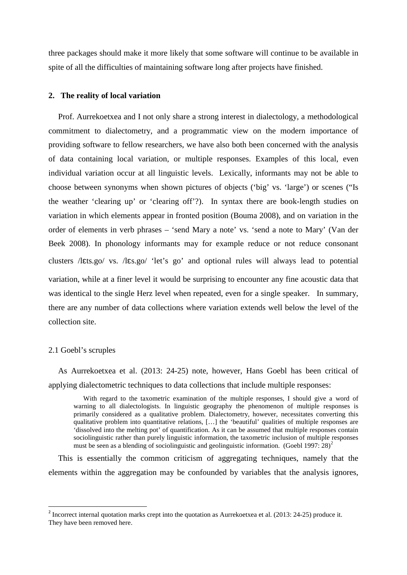three packages should make it more likely that some software will continue to be available in spite of all the difficulties of maintaining software long after projects have finished.

#### **2. The reality of local variation**

Prof. Aurrekoetxea and I not only share a strong interest in dialectology, a methodological commitment to dialectometry, and a programmatic view on the modern importance of providing software to fellow researchers, we have also both been concerned with the analysis of data containing local variation, or multiple responses. Examples of this local, even individual variation occur at all linguistic levels. Lexically, informants may not be able to choose between synonyms when shown pictures of objects ('big' vs. 'large') or scenes ("Is the weather 'clearing up' or 'clearing off'?). In syntax there are book-length studies on variation in which elements appear in fronted position (Bouma 2008), and on variation in the order of elements in verb phrases – 'send Mary a note' vs. 'send a note to Mary' (Van der Beek 2008). In phonology informants may for example reduce or not reduce consonant clusters /lɛts.go/ vs. /lɛs.go/ 'let's go' and optional rules will always lead to potential variation, while at a finer level it would be surprising to encounter any fine acoustic data that was identical to the single Herz level when repeated, even for a single speaker. In summary, there are any number of data collections where variation extends well below the level of the collection site.

#### 2.1 Goebl's scruples

As Aurrekoetxea et al. (2013: 24-25) note, however, Hans Goebl has been critical of applying dialectometric techniques to data collections that include multiple responses:

With regard to the taxometric examination of the multiple responses, I should give a word of warning to all dialectologists. In linguistic geography the phenomenon of multiple responses is primarily considered as a qualitative problem. Dialectometry, however, necessitates converting this qualitative problem into quantitative relations, […] the 'beautiful' qualities of multiple responses are 'dissolved into the melting pot' of quantification. As it can be assumed that multiple responses contain sociolinguistic rather than purely linguistic information, the taxometric inclusion of multiple responses must be seen as a blending of sociolinguistic and geolinguistic information. (Goebl 1997:  $28$  $28$ )<sup>2</sup>

This is essentially the common criticism of aggregating techniques, namely that the elements within the aggregation may be confounded by variables that the analysis ignores,

<span id="page-1-0"></span><sup>&</sup>lt;sup>2</sup> Incorrect internal quotation marks crept into the quotation as Aurrekoetxea et al. (2013: 24-25) produce it. They have been removed here.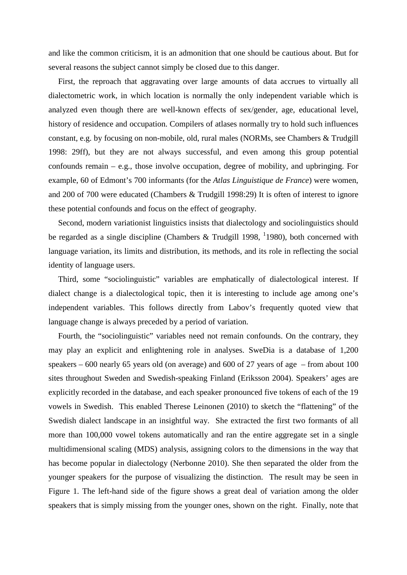and like the common criticism, it is an admonition that one should be cautious about. But for several reasons the subject cannot simply be closed due to this danger.

First, the reproach that aggravating over large amounts of data accrues to virtually all dialectometric work, in which location is normally the only independent variable which is analyzed even though there are well-known effects of sex/gender, age, educational level, history of residence and occupation. Compilers of atlases normally try to hold such influences constant, e.g. by focusing on non-mobile, old, rural males (NORMs, see Chambers & Trudgill 1998: 29ff), but they are not always successful, and even among this group potential confounds remain – e.g., those involve occupation, degree of mobility, and upbringing. For example, 60 of Edmont's 700 informants (for the *Atlas Linguistique de France*) were women, and 200 of 700 were educated (Chambers & Trudgill 1998:29) It is often of interest to ignore these potential confounds and focus on the effect of geography.

Second, modern variationist linguistics insists that dialectology and sociolinguistics should be regarded as a single discipline (Chambers & Trudgill 1998,  $1/1980$ ), both concerned with language variation, its limits and distribution, its methods, and its role in reflecting the social identity of language users.

Third, some "sociolinguistic" variables are emphatically of dialectological interest. If dialect change is a dialectological topic, then it is interesting to include age among one's independent variables. This follows directly from Labov's frequently quoted view that language change is always preceded by a period of variation.

Fourth, the "sociolinguistic" variables need not remain confounds. On the contrary, they may play an explicit and enlightening role in analyses. SweDia is a database of 1,200 speakers – 600 nearly 65 years old (on average) and 600 of 27 years of age – from about 100 sites throughout Sweden and Swedish-speaking Finland (Eriksson 2004). Speakers' ages are explicitly recorded in the database, and each speaker pronounced five tokens of each of the 19 vowels in Swedish. This enabled Therese Leinonen (2010) to sketch the "flattening" of the Swedish dialect landscape in an insightful way. She extracted the first two formants of all more than 100,000 vowel tokens automatically and ran the entire aggregate set in a single multidimensional scaling (MDS) analysis, assigning colors to the dimensions in the way that has become popular in dialectology (Nerbonne 2010). She then separated the older from the younger speakers for the purpose of visualizing the distinction. The result may be seen in Figure 1. The left-hand side of the figure shows a great deal of variation among the older speakers that is simply missing from the younger ones, shown on the right. Finally, note that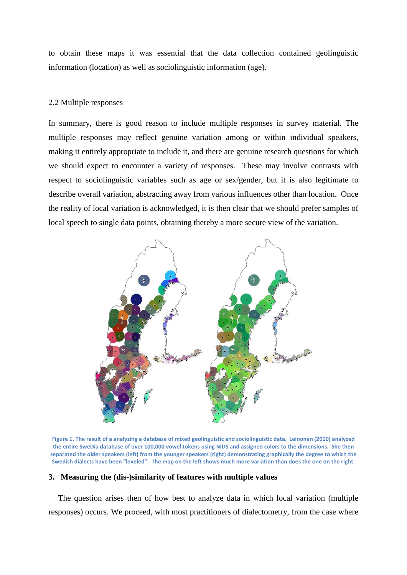to obtain these maps it was essential that the data collection contained geolinguistic information (location) as well as sociolinguistic information (age).

# 2.2 Multiple responses

In summary, there is good reason to include multiple responses in survey material. The multiple responses may reflect genuine variation among or within individual speakers, making it entirely appropriate to include it, and there are genuine research questions for which we should expect to encounter a variety of responses. These may involve contrasts with respect to sociolinguistic variables such as age or sex/gender, but it is also legitimate to describe overall variation, abstracting away from various influences other than location. Once the reality of local variation is acknowledged, it is then clear that we should prefer samples of local speech to single data points, obtaining thereby a more secure view of the variation.



**Figure 1. The result of a analyzing a database of mixed geolinguistic and sociolinguistic data. Leinonen (2010) analyzed the entire SweDia database of over 100,000 vowel tokens using MDS and assigned colors to the dimensions. She then separated the older speakers (left) from the younger speakers (right) demonstrating graphically the degree to which the Swedish dialects have been "leveled". The map on the left shows much more variation than does the one on the right.**

# **3. Measuring the (dis-)similarity of features with multiple values**

The question arises then of how best to analyze data in which local variation (multiple responses) occurs. We proceed, with most practitioners of dialectometry, from the case where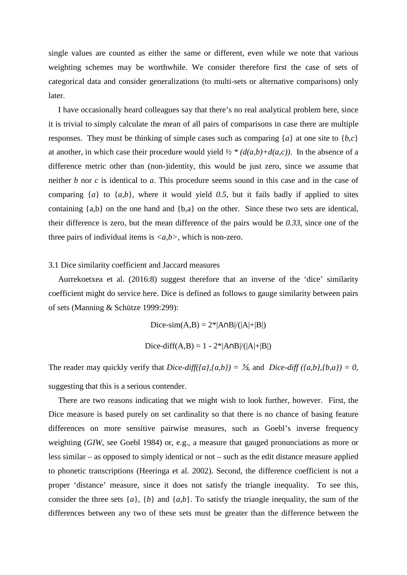single values are counted as either the same or different, even while we note that various weighting schemes may be worthwhile. We consider therefore first the case of sets of categorical data and consider generalizations (to multi-sets or alternative comparisons) only later.

I have occasionally heard colleagues say that there's no real analytical problem here, since it is trivial to simply calculate the mean of all pairs of comparisons in case there are multiple responses. They must be thinking of simple cases such as comparing {*a*} at one site to {*b,c*} at another, in which case their procedure would yield  $\frac{1}{2} * (d(a,b) + d(a,c))$ . In the absence of a difference metric other than (non-)identity, this would be just zero, since we assume that neither *b* nor *c* is identical to *a*. This procedure seems sound in this case and in the case of comparing  $\{a\}$  to  $\{a,b\}$ , where it would yield 0.5, but it fails badly if applied to sites containing {a,b} on the one hand and {b,a} on the other. Since these two sets are identical, their difference is zero, but the mean difference of the pairs would be *0.33*, since one of the three pairs of individual items is  $\langle a,b \rangle$ , which is non-zero.

# 3.1 Dice similarity coefficient and Jaccard measures

Aurrekoetxea et al. (2016:8) suggest therefore that an inverse of the 'dice' similarity coefficient might do service here. Dice is defined as follows to gauge similarity between pairs of sets (Manning & Schütze 1999:299):

Dice-sim(A,B) =  $2^*|A \cap B|/(|A|+|B|)$ 

Dice-diff(A,B) = 1 - 2\*|A∩B|/(|A|+|B|)

The reader may quickly verify that *Dice-diff({a},{a,b}*) =  $\frac{1}{3}$ , and *Dice-diff ({a,b},{b,a})* = 0, suggesting that this is a serious contender.

There are two reasons indicating that we might wish to look further, however. First, the Dice measure is based purely on set cardinality so that there is no chance of basing feature differences on more sensitive pairwise measures, such as Goebl's inverse frequency weighting (*GIW*, see Goebl 1984) or, e.g., a measure that gauged pronunciations as more or less similar – as opposed to simply identical or not – such as the edit distance measure applied to phonetic transcriptions (Heeringa et al. 2002). Second, the difference coefficient is not a proper 'distance' measure, since it does not satisfy the triangle inequality. To see this, consider the three sets  $\{a\}$ ,  $\{b\}$  and  $\{a,b\}$ . To satisfy the triangle inequality, the sum of the differences between any two of these sets must be greater than the difference between the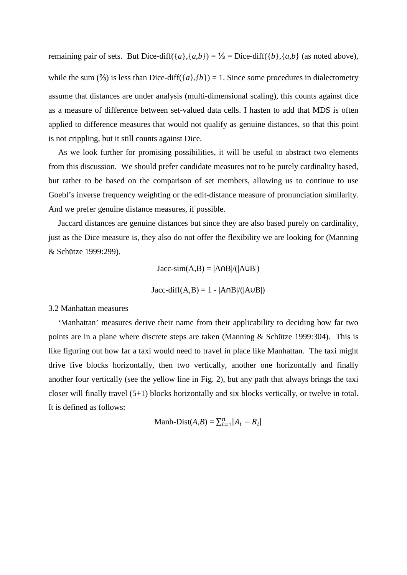remaining pair of sets. But Dice-diff({*a*},{*a,b*}) = ½ = Dice-diff({*b*},{*a,b*} (as noted above), while the sum (%) is less than Dice-diff( $\{a\}$ , $\{b\}$ ) = 1. Since some procedures in dialectometry assume that distances are under analysis (multi-dimensional scaling), this counts against dice as a measure of difference between set-valued data cells. I hasten to add that MDS is often applied to difference measures that would not qualify as genuine distances, so that this point is not crippling, but it still counts against Dice.

As we look further for promising possibilities, it will be useful to abstract two elements from this discussion. We should prefer candidate measures not to be purely cardinality based, but rather to be based on the comparison of set members, allowing us to continue to use Goebl's inverse frequency weighting or the edit-distance measure of pronunciation similarity. And we prefer genuine distance measures, if possible.

Jaccard distances are genuine distances but since they are also based purely on cardinality, just as the Dice measure is, they also do not offer the flexibility we are looking for (Manning & Schütze 1999:299).

> $Jacc-sim(A,B) = |A \cap B|/(|A \cup B|)$  $Jacc\text{-}diff(A,B) = 1 - |A\cap B|/(|A\cup B|)$

#### 3.2 Manhattan measures

'Manhattan' measures derive their name from their applicability to deciding how far two points are in a plane where discrete steps are taken (Manning & Schütze 1999:304). This is like figuring out how far a taxi would need to travel in place like Manhattan. The taxi might drive five blocks horizontally, then two vertically, another one horizontally and finally another four vertically (see the yellow line in Fig. 2), but any path that always brings the taxi closer will finally travel (5+1) blocks horizontally and six blocks vertically, or twelve in total. It is defined as follows:

$$
\text{Manh-Dist}(A, B) = \sum_{i=1}^{n} |A_i - B_i|
$$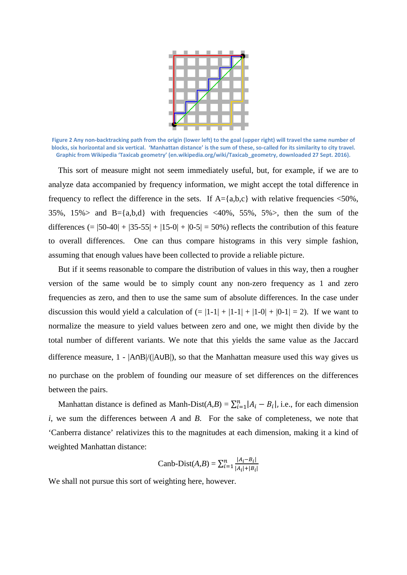

**Figure 2 Any non-backtracking path from the origin (lower left) to the goal (upper right) will travel the same number of blocks, six horizontal and six vertical. 'Manhattan distance' is the sum of these, so-called for its similarity to city travel. Graphic from Wikipedia 'Taxicab geometry' (en.wikipedia.org/wiki/Taxicab\_geometry, downloaded 27 Sept. 2016).**

This sort of measure might not seem immediately useful, but, for example, if we are to analyze data accompanied by frequency information, we might accept the total difference in frequency to reflect the difference in the sets. If  $A = \{a,b,c\}$  with relative frequencies <50%, 35%, 15% and B={a,b,d} with frequencies  $\langle 40\% , 55\% , 5\% \rangle$ , then the sum of the differences  $(= |50-40| + |35-55| + |15-0| + |0-5| = 50\%)$  reflects the contribution of this feature to overall differences. One can thus compare histograms in this very simple fashion, assuming that enough values have been collected to provide a reliable picture.

But if it seems reasonable to compare the distribution of values in this way, then a rougher version of the same would be to simply count any non-zero frequency as 1 and zero frequencies as zero, and then to use the same sum of absolute differences. In the case under discussion this would yield a calculation of  $(= |1-1| + |1-1| + |1-0| + |0-1| = 2)$ . If we want to normalize the measure to yield values between zero and one, we might then divide by the total number of different variants. We note that this yields the same value as the Jaccard difference measure, 1 - |A∩B|/(|A∪B|), so that the Manhattan measure used this way gives us no purchase on the problem of founding our measure of set differences on the differences between the pairs.

Manhattan distance is defined as Manh-Dist( $A,B$ ) =  $\sum_{i=1}^{n} |A_i - B_i|$ , i.e., for each dimension *i*, we sum the differences between *A* and *B*. For the sake of completeness, we note that 'Canberra distance' relativizes this to the magnitudes at each dimension, making it a kind of weighted Manhattan distance:

Canb-Dist(A, B) = 
$$
\sum_{i=1}^{n} \frac{|A_i - B_i|}{|A_i| + |B_i|}
$$

We shall not pursue this sort of weighting here, however.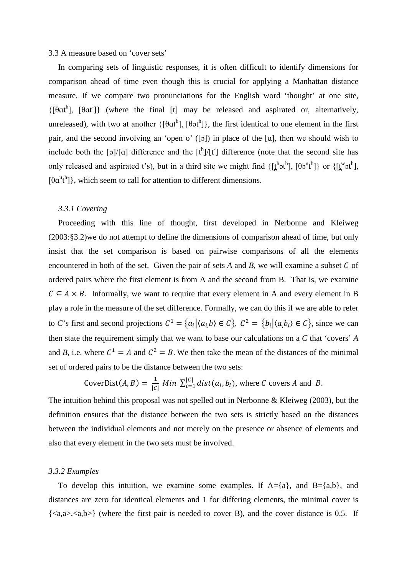#### 3.3 A measure based on 'cover sets'

In comparing sets of linguistic responses, it is often difficult to identify dimensions for comparison ahead of time even though this is crucial for applying a Manhattan distance measure. If we compare two pronunciations for the English word 'thought' at one site,  $\{[\theta \alpha t^h]$ ,  $[\theta \alpha t^h]$ } (where the final [t] may be released and aspirated or, alternatively, unreleased), with two at another  $\{\theta \alpha t^h\}$ ,  $[\theta \alpha t^h]$ , the first identical to one element in the first pair, and the second involving an 'open o' ([ɔ]) in place of the [ɑ], then we should wish to include both the [o]/[a] difference and the  $[t^h]/[t]$  difference (note that the second site has only released and aspirated t's), but in a third site we might find  $\{[\underline{t}^h \circ t^h], [\theta \circ t^h]\}$  or  $\{[\underline{t}^w \circ t^h],$  $[\theta \alpha^{u} t^{h}]$ , which seem to call for attention to different dimensions.

#### *3.3.1 Covering*

Proceeding with this line of thought, first developed in Nerbonne and Kleiweg (2003:§3.2)we do not attempt to define the dimensions of comparison ahead of time, but only insist that the set comparison is based on pairwise comparisons of all the elements encountered in both of the set. Given the pair of sets  $A$  and  $B$ , we will examine a subset  $C$  of ordered pairs where the first element is from A and the second from B. That is, we examine  $C \subseteq A \times B$ . Informally, we want to require that every element in A and every element in B play a role in the measure of the set difference. Formally, we can do this if we are able to refer to *C*'s first and second projections  $C^1 = \{a_i | \langle a_i, b \rangle \in C\}$ ,  $C^2 = \{b_i | \langle a_i, b_i \rangle \in C\}$ , since we can then state the requirement simply that we want to base our calculations on a *C* that 'covers' *A* and *B*, i.e. where  $C^1 = A$  and  $C^2 = B$ . We then take the mean of the distances of the minimal set of ordered pairs to be the distance between the two sets:

CoverDist(A, B) = 
$$
\frac{1}{|C|}
$$
 Min  $\sum_{i=1}^{|C|} dist(a_i, b_i)$ , where C covers A and B.

The intuition behind this proposal was not spelled out in Nerbonne & Kleiweg (2003), but the definition ensures that the distance between the two sets is strictly based on the distances between the individual elements and not merely on the presence or absence of elements and also that every element in the two sets must be involved.

#### *3.3.2 Examples*

To develop this intuition, we examine some examples. If  $A = \{a\}$ , and  $B = \{a,b\}$ , and distances are zero for identical elements and 1 for differing elements, the minimal cover is  $\{\langle a,a\rangle,\langle a,b\rangle\}$  (where the first pair is needed to cover B), and the cover distance is 0.5. If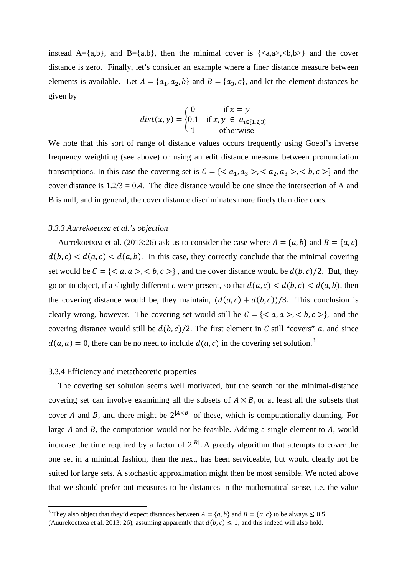instead  $A = \{a,b\}$ , and  $B = \{a,b\}$ , then the minimal cover is  $\{\langle a,a\rangle,\langle b,b\rangle\}$  and the cover distance is zero. Finally, let's consider an example where a finer distance measure between elements is available. Let  $A = \{a_1, a_2, b\}$  and  $B = \{a_3, c\}$ , and let the element distances be given by

$$
dist(x, y) = \begin{cases} 0 & \text{if } x = y \\ 0.1 & \text{if } x, y \in a_{i \in \{1, 2, 3\}} \\ 1 & \text{otherwise} \end{cases}
$$

We note that this sort of range of distance values occurs frequently using Goebl's inverse frequency weighting (see above) or using an edit distance measure between pronunciation transcriptions. In this case the covering set is  $C = \{ \langle a_1, a_3 \rangle, \langle a_2, a_3 \rangle, \langle b, c \rangle \}$  and the cover distance is  $1.2/3 = 0.4$ . The dice distance would be one since the intersection of A and B is null, and in general, the cover distance discriminates more finely than dice does.

#### *3.3.3 Aurrekoetxea et al.'s objection*

Aurrekoetxea et al. (2013:26) ask us to consider the case where  $A = \{a, b\}$  and  $B = \{a, c\}$  $d(b, c) < d(a, c) < d(a, b)$ . In this case, they correctly conclude that the minimal covering set would be  $C = \{ \langle a, a \rangle, \langle b, c \rangle \}$ , and the cover distance would be  $d(b, c)/2$ . But, they go on to object, if a slightly different *c* were present, so that  $d(a, c) < d(b, c) < d(a, b)$ , then the covering distance would be, they maintain,  $(d(a, c) + d(b, c))/3$ . This conclusion is clearly wrong, however. The covering set would still be  $C = \{ \langle a, a \rangle, \langle b, c \rangle \}$ , and the covering distance would still be  $d(b, c)/2$ . The first element in C still "covers" a, and since  $d(a, a) = 0$ , there can be no need to include  $d(a, c)$  in the covering set solution.<sup>[3](#page-8-0)</sup>

#### 3.3.4 Efficiency and metatheoretic properties

The covering set solution seems well motivated, but the search for the minimal-distance covering set can involve examining all the subsets of  $A \times B$ , or at least all the subsets that cover A and B, and there might be  $2^{|A \times B|}$  of these, which is computationally daunting. For large  $A$  and  $B$ , the computation would not be feasible. Adding a single element to  $A$ , would increase the time required by a factor of  $2^{|B|}$ . A greedy algorithm that attempts to cover the one set in a minimal fashion, then the next, has been serviceable, but would clearly not be suited for large sets. A stochastic approximation might then be most sensible. We noted above that we should prefer out measures to be distances in the mathematical sense, i.e. the value

<span id="page-8-0"></span><sup>&</sup>lt;sup>3</sup> They also object that they'd expect distances between  $A = \{a, b\}$  and  $B = \{a, c\}$  to be always  $\le 0.5$ 

<sup>(</sup>Auurekoetxea et al. 2013: 26), assuming apparently that  $d(b, c) \le 1$ , and this indeed will also hold.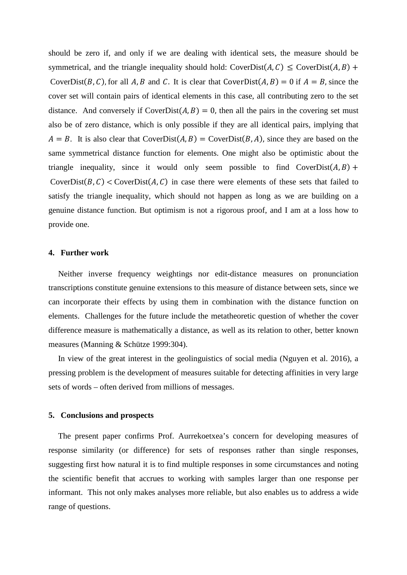should be zero if, and only if we are dealing with identical sets, the measure should be symmetrical, and the triangle inequality should hold: CoverDist( $A, C$ )  $\leq$  CoverDist( $A, B$ ) + CoverDist(B, C), for all A, B and C. It is clear that CoverDist(A, B) = 0 if  $A = B$ , since the cover set will contain pairs of identical elements in this case, all contributing zero to the set distance. And conversely if  $CoverDist(A, B) = 0$ , then all the pairs in the covering set must also be of zero distance, which is only possible if they are all identical pairs, implying that  $A = B$ . It is also clear that CoverDist(A, B) = CoverDist(B, A), since they are based on the same symmetrical distance function for elements. One might also be optimistic about the triangle inequality, since it would only seem possible to find  $CoverDist(A, B) +$ CoverDist( $B, C$ ) < CoverDist( $A, C$ ) in case there were elements of these sets that failed to satisfy the triangle inequality, which should not happen as long as we are building on a genuine distance function. But optimism is not a rigorous proof, and I am at a loss how to provide one.

#### **4. Further work**

Neither inverse frequency weightings nor edit-distance measures on pronunciation transcriptions constitute genuine extensions to this measure of distance between sets, since we can incorporate their effects by using them in combination with the distance function on elements. Challenges for the future include the metatheoretic question of whether the cover difference measure is mathematically a distance, as well as its relation to other, better known measures (Manning & Schütze 1999:304).

In view of the great interest in the geolinguistics of social media (Nguyen et al. 2016), a pressing problem is the development of measures suitable for detecting affinities in very large sets of words – often derived from millions of messages.

#### **5. Conclusions and prospects**

The present paper confirms Prof. Aurrekoetxea's concern for developing measures of response similarity (or difference) for sets of responses rather than single responses, suggesting first how natural it is to find multiple responses in some circumstances and noting the scientific benefit that accrues to working with samples larger than one response per informant. This not only makes analyses more reliable, but also enables us to address a wide range of questions.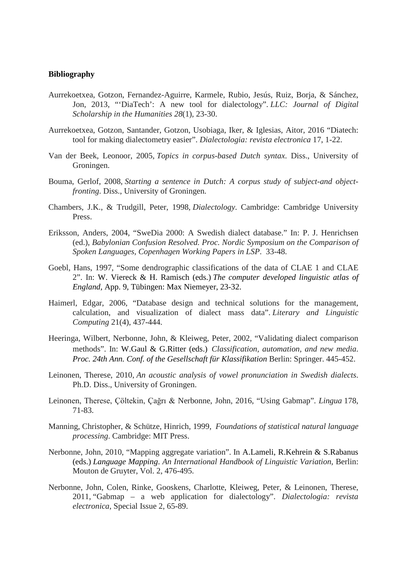## **Bibliography**

- Aurrekoetxea, Gotzon, Fernandez-Aguirre, Karmele, Rubio, Jesús, Ruiz, Borja, & Sánchez, Jon, 2013, "'DiaTech': A new tool for dialectology". *LLC: Journal of Digital Scholarship in the Humanities 28*(1), 23-30.
- Aurrekoetxea, Gotzon, Santander, Gotzon, Usobiaga, Iker, & Iglesias, Aitor, 2016 "Diatech: tool for making dialectometry easier". *Dialectologia: revista electronica* 17, 1-22.
- Van der Beek, Leonoor, 2005, *Topics in corpus-based Dutch syntax*. Diss., University of Groningen.
- Bouma, Gerlof, 2008, *Starting a sentence in Dutch: A corpus study of subject-and objectfronting*. Diss., University of Groningen.
- Chambers, J.K., & Trudgill, Peter, 1998, *Dialectology*. Cambridge: Cambridge University Press.
- Eriksson, Anders, 2004, "SweDia 2000: A Swedish dialect database." In: P. J. Henrichsen (ed.), *Babylonian Confusion Resolved. Proc. Nordic Symposium on the Comparison of Spoken Languages, Copenhagen Working Papers in LSP*. 33-48.
- Goebl, Hans, 1997, "Some dendrographic classifications of the data of CLAE 1 and CLAE 2". In: [W. Viereck & H. Ramisch \(eds.\)](https://katalog.ub.uni-freiburg.de/opac/RDSRecord/RDSDetails?id=024465925) *The computer developed linguistic atlas of England,* App. 9, Tübingen: Max Niemeyer, 23-32.
- Haimerl, Edgar, 2006, "Database design and technical solutions for the management, calculation, and visualization of dialect mass data". *Literary and Linguistic Computing* 21(4), 437-444.
- Heeringa, Wilbert, Nerbonne, John, & Kleiweg, Peter, 2002, "Validating dialect comparison methods". In: W.Gaul & G.Ritter (eds.) *Classification, automation, and new media*. *Proc. 24th Ann. Conf. of the Gesellschaft für Klassifikation* Berlin: Springer. 445-452.
- Leinonen, Therese, 2010, *An acoustic analysis of vowel pronunciation in Swedish dialects*. Ph.D. Diss., University of Groningen.
- Leinonen, Therese, Çöltekin, Çağrı & Nerbonne, John, 2016, "Using Gabmap". *Lingua* 178, 71-83.
- Manning, Christopher, & Schütze, Hinrich, 1999, *Foundations of statistical natural language processing*. Cambridge: MIT Press.
- Nerbonne, John, 2010, "Mapping aggregate variation". In A.Lameli, R.Kehrein & S.Rabanus (eds.) *Language Mapping*. *An International Handbook of Linguistic Variation*, Berlin: Mouton de Gruyter, Vol. 2, 476-495.
- Nerbonne, John, Colen, Rinke, Gooskens, Charlotte, Kleiweg, Peter, & Leinonen, Therese, 2011, "Gabmap – a web application for dialectology". *Dialectologia: revista electronica*, Special Issue 2, 65-89.